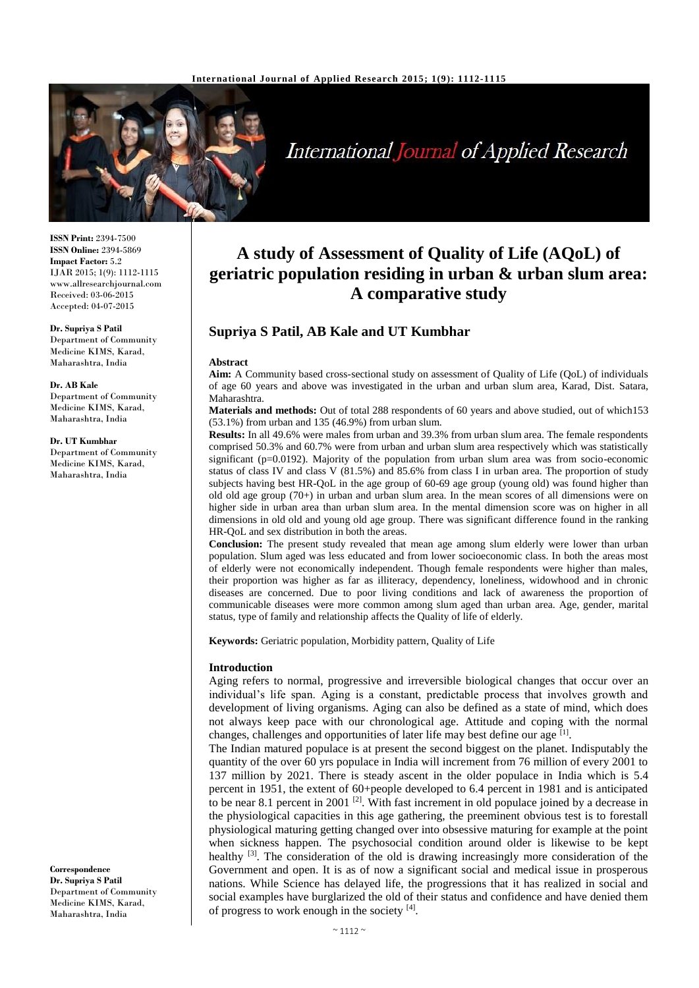

# **International Journal of Applied Research**

**ISSN Print:** 2394-7500 **ISSN Online:** 2394-5869 **Impact Factor:** 5.2 IJAR 2015; 1(9): 1112-1115 www.allresearchjournal.com Received: 03-06-2015 Accepted: 04-07-2015

**Dr. Supriya S Patil** Department of Community Medicine KIMS, Karad, Maharashtra, India

#### **Dr. AB Kale**

Department of Community Medicine KIMS, Karad, Maharashtra, India

#### **Dr. UT Kumbhar**

Department of Community Medicine KIMS, Karad, Maharashtra, India

**Correspondence Dr. Supriya S Patil** Department of Community Medicine KIMS, Karad, Maharashtra, India

# **A study of Assessment of Quality of Life (AQoL) of geriatric population residing in urban & urban slum area: A comparative study**

## **Supriya S Patil, AB Kale and UT Kumbhar**

#### **Abstract**

**Aim:** A Community based cross-sectional study on assessment of Quality of Life (QoL) of individuals of age 60 years and above was investigated in the urban and urban slum area, Karad, Dist. Satara, Maharashtra.

**Materials and methods:** Out of total 288 respondents of 60 years and above studied, out of which153 (53.1%) from urban and 135 (46.9%) from urban slum.

**Results:** In all 49.6% were males from urban and 39.3% from urban slum area. The female respondents comprised 50.3% and 60.7% were from urban and urban slum area respectively which was statistically significant (p=0.0192). Majority of the population from urban slum area was from socio-economic status of class IV and class V (81.5%) and 85.6% from class I in urban area. The proportion of study subjects having best HR-QoL in the age group of 60-69 age group (young old) was found higher than old old age group (70+) in urban and urban slum area. In the mean scores of all dimensions were on higher side in urban area than urban slum area. In the mental dimension score was on higher in all dimensions in old old and young old age group. There was significant difference found in the ranking HR-QoL and sex distribution in both the areas.

**Conclusion:** The present study revealed that mean age among slum elderly were lower than urban population. Slum aged was less educated and from lower socioeconomic class. In both the areas most of elderly were not economically independent. Though female respondents were higher than males, their proportion was higher as far as illiteracy, dependency, loneliness, widowhood and in chronic diseases are concerned. Due to poor living conditions and lack of awareness the proportion of communicable diseases were more common among slum aged than urban area. Age, gender, marital status, type of family and relationship affects the Quality of life of elderly.

**Keywords:** Geriatric population, Morbidity pattern, Quality of Life

#### **Introduction**

Aging refers to normal, progressive and irreversible biological changes that occur over an individual's life span. Aging is a constant, predictable process that involves growth and development of living organisms. Aging can also be defined as a state of mind, which does not always keep pace with our chronological age. Attitude and coping with the normal changes, challenges and opportunities of later life may best define our age  $[1]$ .

The Indian matured populace is at present the second biggest on the planet. Indisputably the quantity of the over 60 yrs populace in India will increment from 76 million of every 2001 to 137 million by 2021. There is steady ascent in the older populace in India which is 5.4 percent in 1951, the extent of 60+people developed to 6.4 percent in 1981 and is anticipated to be near 8.1 percent in 2001<sup>[2]</sup>. With fast increment in old populace joined by a decrease in the physiological capacities in this age gathering, the preeminent obvious test is to forestall physiological maturing getting changed over into obsessive maturing for example at the point when sickness happen. The psychosocial condition around older is likewise to be kept healthy  $[3]$ . The consideration of the old is drawing increasingly more consideration of the Government and open. It is as of now a significant social and medical issue in prosperous nations. While Science has delayed life, the progressions that it has realized in social and social examples have burglarized the old of their status and confidence and have denied them of progress to work enough in the society  $[4]$ .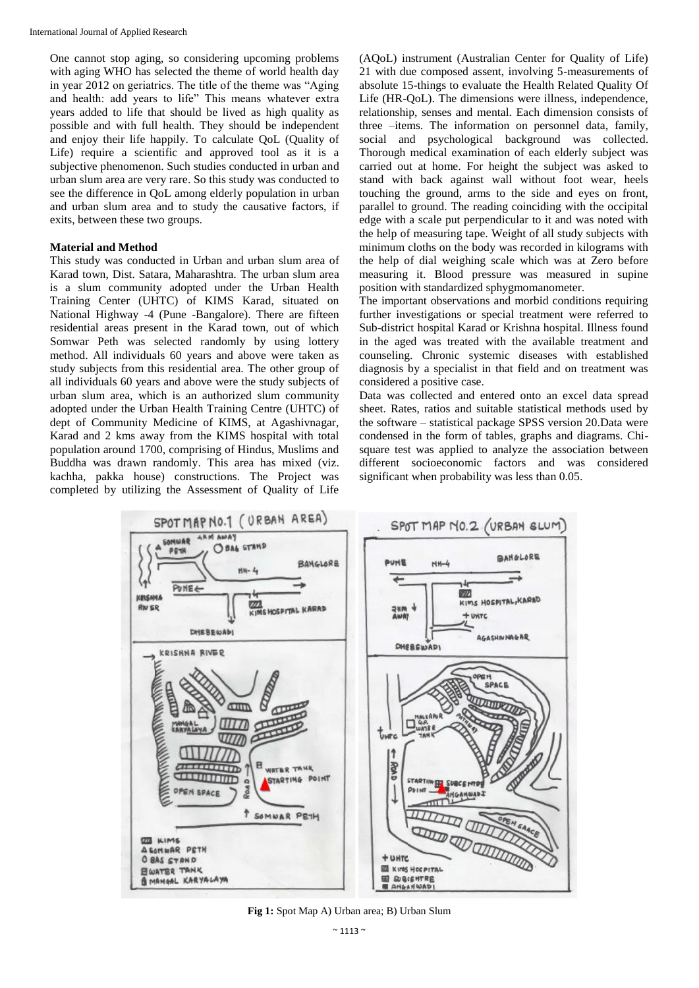One cannot stop aging, so considering upcoming problems with aging WHO has selected the theme of world health day in year 2012 on geriatrics. The title of the theme was "Aging and health: add years to life" This means whatever extra years added to life that should be lived as high quality as possible and with full health. They should be independent and enjoy their life happily. To calculate QoL (Quality of Life) require a scientific and approved tool as it is a subjective phenomenon. Such studies conducted in urban and urban slum area are very rare. So this study was conducted to see the difference in QoL among elderly population in urban and urban slum area and to study the causative factors, if exits, between these two groups.

#### **Material and Method**

This study was conducted in Urban and urban slum area of Karad town, Dist. Satara, Maharashtra. The urban slum area is a slum community adopted under the Urban Health Training Center (UHTC) of KIMS Karad, situated on National Highway -4 (Pune -Bangalore). There are fifteen residential areas present in the Karad town, out of which Somwar Peth was selected randomly by using lottery method. All individuals 60 years and above were taken as study subjects from this residential area. The other group of all individuals 60 years and above were the study subjects of urban slum area, which is an authorized slum community adopted under the Urban Health Training Centre (UHTC) of dept of Community Medicine of KIMS, at Agashivnagar, Karad and 2 kms away from the KIMS hospital with total population around 1700, comprising of Hindus, Muslims and Buddha was drawn randomly. This area has mixed (viz. kachha, pakka house) constructions. The Project was completed by utilizing the Assessment of Quality of Life (AQoL) instrument (Australian Center for Quality of Life) 21 with due composed assent, involving 5-measurements of absolute 15-things to evaluate the Health Related Quality Of Life (HR-QoL). The dimensions were illness, independence, relationship, senses and mental. Each dimension consists of three –items. The information on personnel data, family, social and psychological background was collected. Thorough medical examination of each elderly subject was carried out at home. For height the subject was asked to stand with back against wall without foot wear, heels touching the ground, arms to the side and eyes on front, parallel to ground. The reading coinciding with the occipital edge with a scale put perpendicular to it and was noted with the help of measuring tape. Weight of all study subjects with minimum cloths on the body was recorded in kilograms with the help of dial weighing scale which was at Zero before measuring it. Blood pressure was measured in supine position with standardized sphygmomanometer.

The important observations and morbid conditions requiring further investigations or special treatment were referred to Sub-district hospital Karad or Krishna hospital. Illness found in the aged was treated with the available treatment and counseling. Chronic systemic diseases with established diagnosis by a specialist in that field and on treatment was considered a positive case.

Data was collected and entered onto an excel data spread sheet. Rates, ratios and suitable statistical methods used by the software – statistical package SPSS version 20.Data were condensed in the form of tables, graphs and diagrams. Chisquare test was applied to analyze the association between different socioeconomic factors and was considered significant when probability was less than 0.05.



**Fig 1:** Spot Map A) Urban area; B) Urban Slum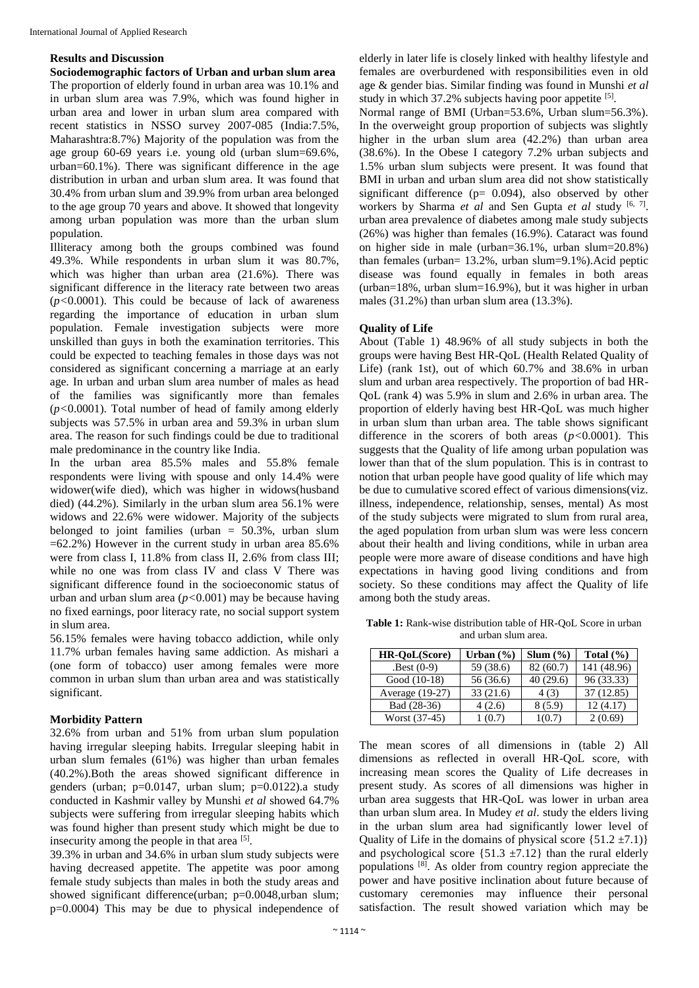### **Results and Discussion**

**Sociodemographic factors of Urban and urban slum area** The proportion of elderly found in urban area was 10.1% and in urban slum area was 7.9%, which was found higher in urban area and lower in urban slum area compared with recent statistics in NSSO survey 2007-085 (India:7.5%, Maharashtra:8.7%) Majority of the population was from the age group 60-69 years i.e. young old (urban slum=69.6%, urban=60.1%). There was significant difference in the age distribution in urban and urban slum area. It was found that 30.4% from urban slum and 39.9% from urban area belonged to the age group 70 years and above. It showed that longevity among urban population was more than the urban slum population.

Illiteracy among both the groups combined was found 49.3%. While respondents in urban slum it was 80.7%, which was higher than urban area (21.6%). There was significant difference in the literacy rate between two areas (*p<*0.0001). This could be because of lack of awareness regarding the importance of education in urban slum population. Female investigation subjects were more unskilled than guys in both the examination territories. This could be expected to teaching females in those days was not considered as significant concerning a marriage at an early age. In urban and urban slum area number of males as head of the families was significantly more than females (*p<*0.0001). Total number of head of family among elderly subjects was 57.5% in urban area and 59.3% in urban slum area. The reason for such findings could be due to traditional male predominance in the country like India.

In the urban area 85.5% males and 55.8% female respondents were living with spouse and only 14.4% were widower(wife died), which was higher in widows(husband died) (44.2%). Similarly in the urban slum area 56.1% were widows and 22.6% were widower. Majority of the subjects belonged to joint families (urban  $= 50.3\%$ , urban slum  $=62.2\%$ ) However in the current study in urban area 85.6% were from class I, 11.8% from class II, 2.6% from class III; while no one was from class IV and class V There was significant difference found in the socioeconomic status of urban and urban slum area (*p<*0.001) may be because having no fixed earnings, poor literacy rate, no social support system in slum area.

56.15% females were having tobacco addiction, while only 11.7% urban females having same addiction. As mishari a (one form of tobacco) user among females were more common in urban slum than urban area and was statistically significant.

#### **Morbidity Pattern**

32.6% from urban and 51% from urban slum population having irregular sleeping habits. Irregular sleeping habit in urban slum females (61%) was higher than urban females (40.2%).Both the areas showed significant difference in genders (urban; p=0.0147, urban slum; p=0.0122).a study conducted in Kashmir valley by Munshi *et al* showed 64.7% subjects were suffering from irregular sleeping habits which was found higher than present study which might be due to insecurity among the people in that area [5].

39.3% in urban and 34.6% in urban slum study subjects were having decreased appetite. The appetite was poor among female study subjects than males in both the study areas and showed significant difference(urban; p=0.0048,urban slum; p=0.0004) This may be due to physical independence of elderly in later life is closely linked with healthy lifestyle and females are overburdened with responsibilities even in old age & gender bias. Similar finding was found in Munshi *et al* study in which 37.2% subjects having poor appetite [5].

Normal range of BMI (Urban=53.6%, Urban slum=56.3%). In the overweight group proportion of subjects was slightly higher in the urban slum area (42.2%) than urban area (38.6%). In the Obese I category 7.2% urban subjects and 1.5% urban slum subjects were present. It was found that BMI in urban and urban slum area did not show statistically significant difference ( $p= 0.094$ ), also observed by other workers by Sharma *et al* and Sen Gupta *et al* study <sup>[6, 7]</sup>. urban area prevalence of diabetes among male study subjects (26%) was higher than females (16.9%). Cataract was found on higher side in male (urban=36.1%, urban slum=20.8%) than females (urban= 13.2%, urban slum=9.1%).Acid peptic disease was found equally in females in both areas (urban=18%, urban slum=16.9%), but it was higher in urban males (31.2%) than urban slum area (13.3%).

#### **Quality of Life**

About (Table 1) 48.96% of all study subjects in both the groups were having Best HR-QoL (Health Related Quality of Life) (rank 1st), out of which 60.7% and 38.6% in urban slum and urban area respectively. The proportion of bad HR-QoL (rank 4) was 5.9% in slum and 2.6% in urban area. The proportion of elderly having best HR-QoL was much higher in urban slum than urban area. The table shows significant difference in the scorers of both areas (*p<*0.0001). This suggests that the Quality of life among urban population was lower than that of the slum population. This is in contrast to notion that urban people have good quality of life which may be due to cumulative scored effect of various dimensions(viz. illness, independence, relationship, senses, mental) As most of the study subjects were migrated to slum from rural area, the aged population from urban slum was were less concern about their health and living conditions, while in urban area people were more aware of disease conditions and have high expectations in having good living conditions and from society. So these conditions may affect the Quality of life among both the study areas.

**Table 1:** Rank-wise distribution table of HR-QoL Score in urban and urban slum area.

| HR-OoL(Score)   | Urban $(\% )$ | $Slum (\% )$ | Total $(\% )$ |
|-----------------|---------------|--------------|---------------|
| $Best(0-9)$     | 59 (38.6)     | 82 (60.7)    | 141 (48.96)   |
| Good (10-18)    | 56 (36.6)     | 40(29.6)     | 96 (33.33)    |
| Average (19-27) | 33(21.6)      | 4(3)         | 37(12.85)     |
| Bad (28-36)     | 4(2.6)        | 8(5.9)       | 12(4.17)      |
| Worst (37-45)   | 1(0.7)        | 1(0.7)       | 2(0.69)       |

The mean scores of all dimensions in (table 2) All dimensions as reflected in overall HR-QoL score, with increasing mean scores the Quality of Life decreases in present study. As scores of all dimensions was higher in urban area suggests that HR-QoL was lower in urban area than urban slum area. In Mudey *et al*. study the elders living in the urban slum area had significantly lower level of Quality of Life in the domains of physical score  $\{51.2 \pm 7.1\}$ and psychological score  $\{51.3 \pm 7.12\}$  than the rural elderly populations [8]. As older from country region appreciate the power and have positive inclination about future because of customary ceremonies may influence their personal satisfaction. The result showed variation which may be